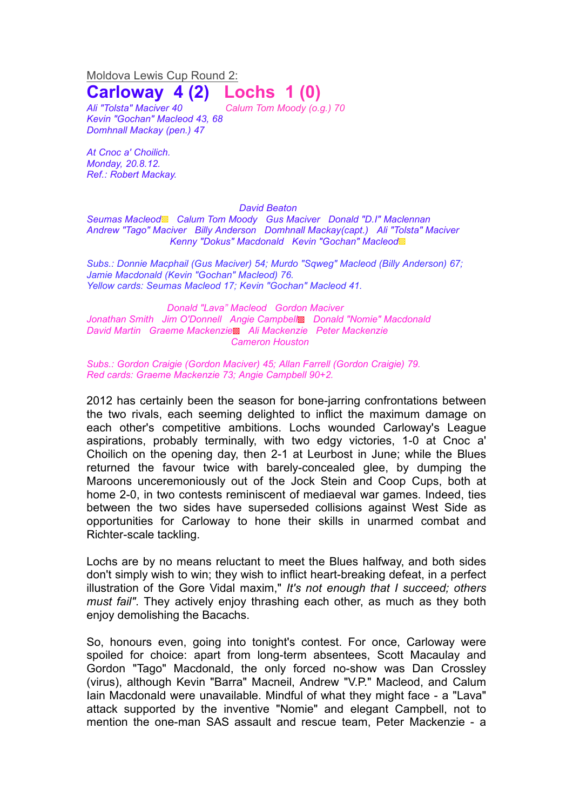Moldova Lewis Cup Round 2:

## **Carloway 4 (2) Lochs 1 (0)**

*Ali "Tolsta" Maciver 40 Calum Tom Moody (o.g.) 70 Kevin "Gochan" Macleod 43, 68 Domhnall Mackay (pen.) 47*

*At Cnoc a' Choilich. Monday, 20.8.12. Ref.: Robert Mackay.*

## *David Beaton*

*Seumas Macleod*▩ *Calum Tom Moody Gus Maciver Donald "D.I" Maclennan Andrew "Tago" Maciver Billy Anderson Domhnall Mackay(capt.) Ali "Tolsta" Maciver Kenny "Dokus" Macdonald Kevin "Gochan" Macleod*▩

*Subs.: Donnie Macphail (Gus Maciver) 54; Murdo "Sqweg" Macleod (Billy Anderson) 67; Jamie Macdonald (Kevin "Gochan" Macleod) 76. Yellow cards: Seumas Macleod 17; Kevin "Gochan" Macleod 41.*

*Donald "Lava" Macleod Gordon Maciver Jonathan Smith Jim O'Donnell Angie Campbell*▩ *Donald "Nomie" Macdonald David Martin Graeme Mackenzie*▩ *Ali Mackenzie Peter Mackenzie Cameron Houston*

*Subs.: Gordon Craigie (Gordon Maciver) 45; Allan Farrell (Gordon Craigie) 79. Red cards: Graeme Mackenzie 73; Angie Campbell 90+2.*

2012 has certainly been the season for bone-jarring confrontations between the two rivals, each seeming delighted to inflict the maximum damage on each other's competitive ambitions. Lochs wounded Carloway's League aspirations, probably terminally, with two edgy victories, 1-0 at Cnoc a' Choilich on the opening day, then 2-1 at Leurbost in June; while the Blues returned the favour twice with barely-concealed glee, by dumping the Maroons unceremoniously out of the Jock Stein and Coop Cups, both at home 2-0, in two contests reminiscent of mediaeval war games. Indeed, ties between the two sides have superseded collisions against West Side as opportunities for Carloway to hone their skills in unarmed combat and Richter-scale tackling.

Lochs are by no means reluctant to meet the Blues halfway, and both sides don't simply wish to win; they wish to inflict heart-breaking defeat, in a perfect illustration of the Gore Vidal maxim," *It's not enough that I succeed; others must fail"*. They actively enjoy thrashing each other, as much as they both enjoy demolishing the Bacachs.

So, honours even, going into tonight's contest. For once, Carloway were spoiled for choice: apart from long-term absentees, Scott Macaulay and Gordon "Tago" Macdonald, the only forced no-show was Dan Crossley (virus), although Kevin "Barra" Macneil, Andrew "V.P." Macleod, and Calum Iain Macdonald were unavailable. Mindful of what they might face - a "Lava" attack supported by the inventive "Nomie" and elegant Campbell, not to mention the one-man SAS assault and rescue team, Peter Mackenzie - a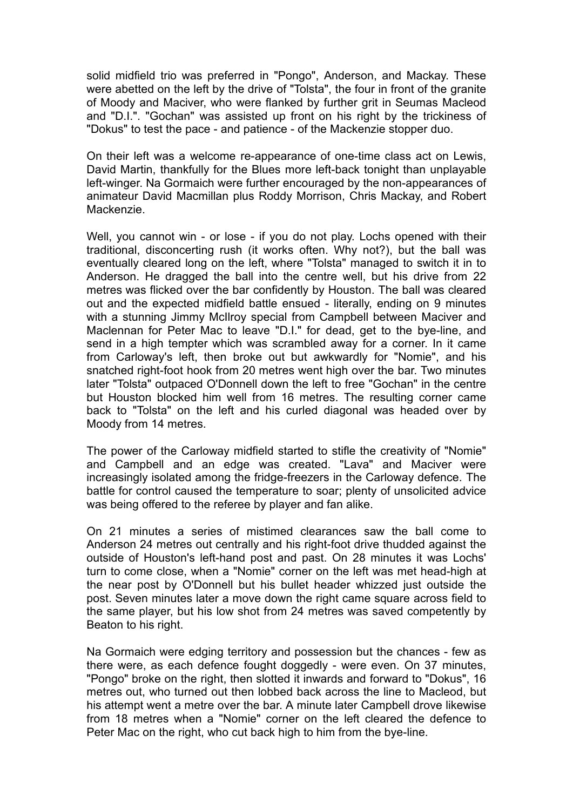solid midfield trio was preferred in "Pongo", Anderson, and Mackay. These were abetted on the left by the drive of "Tolsta", the four in front of the granite of Moody and Maciver, who were flanked by further grit in Seumas Macleod and "D.I.". "Gochan" was assisted up front on his right by the trickiness of "Dokus" to test the pace - and patience - of the Mackenzie stopper duo.

On their left was a welcome re-appearance of one-time class act on Lewis, David Martin, thankfully for the Blues more left-back tonight than unplayable left-winger. Na Gormaich were further encouraged by the non-appearances of animateur David Macmillan plus Roddy Morrison, Chris Mackay, and Robert Mackenzie.

Well, you cannot win - or lose - if you do not play. Lochs opened with their traditional, disconcerting rush (it works often. Why not?), but the ball was eventually cleared long on the left, where "Tolsta" managed to switch it in to Anderson. He dragged the ball into the centre well, but his drive from 22 metres was flicked over the bar confidently by Houston. The ball was cleared out and the expected midfield battle ensued - literally, ending on 9 minutes with a stunning Jimmy McIlroy special from Campbell between Maciver and Maclennan for Peter Mac to leave "D.I." for dead, get to the bye-line, and send in a high tempter which was scrambled away for a corner. In it came from Carloway's left, then broke out but awkwardly for "Nomie", and his snatched right-foot hook from 20 metres went high over the bar. Two minutes later "Tolsta" outpaced O'Donnell down the left to free "Gochan" in the centre but Houston blocked him well from 16 metres. The resulting corner came back to "Tolsta" on the left and his curled diagonal was headed over by Moody from 14 metres.

The power of the Carloway midfield started to stifle the creativity of "Nomie" and Campbell and an edge was created. "Lava" and Maciver were increasingly isolated among the fridge-freezers in the Carloway defence. The battle for control caused the temperature to soar; plenty of unsolicited advice was being offered to the referee by player and fan alike.

On 21 minutes a series of mistimed clearances saw the ball come to Anderson 24 metres out centrally and his right-foot drive thudded against the outside of Houston's left-hand post and past. On 28 minutes it was Lochs' turn to come close, when a "Nomie" corner on the left was met head-high at the near post by O'Donnell but his bullet header whizzed just outside the post. Seven minutes later a move down the right came square across field to the same player, but his low shot from 24 metres was saved competently by Beaton to his right.

Na Gormaich were edging territory and possession but the chances - few as there were, as each defence fought doggedly - were even. On 37 minutes, "Pongo" broke on the right, then slotted it inwards and forward to "Dokus", 16 metres out, who turned out then lobbed back across the line to Macleod, but his attempt went a metre over the bar. A minute later Campbell drove likewise from 18 metres when a "Nomie" corner on the left cleared the defence to Peter Mac on the right, who cut back high to him from the bye-line.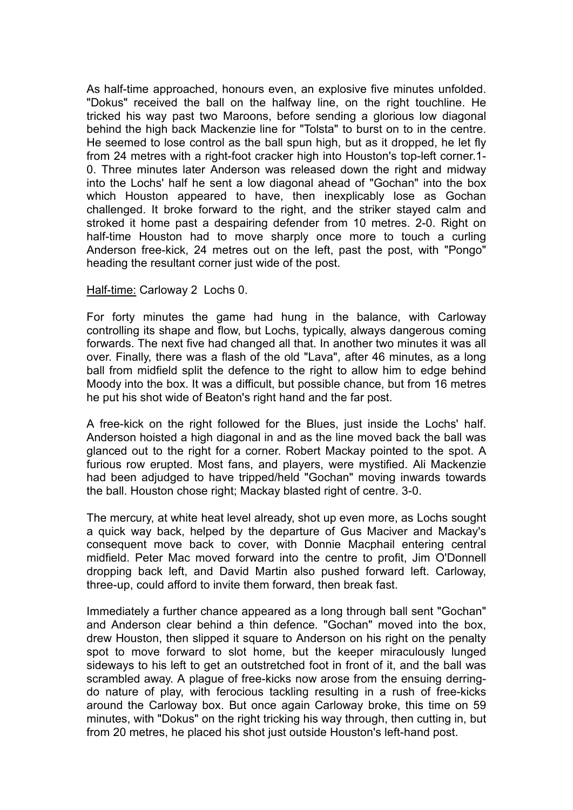As half-time approached, honours even, an explosive five minutes unfolded. "Dokus" received the ball on the halfway line, on the right touchline. He tricked his way past two Maroons, before sending a glorious low diagonal behind the high back Mackenzie line for "Tolsta" to burst on to in the centre. He seemed to lose control as the ball spun high, but as it dropped, he let fly from 24 metres with a right-foot cracker high into Houston's top-left corner.1- 0. Three minutes later Anderson was released down the right and midway into the Lochs' half he sent a low diagonal ahead of "Gochan" into the box which Houston appeared to have, then inexplicably lose as Gochan challenged. It broke forward to the right, and the striker stayed calm and stroked it home past a despairing defender from 10 metres. 2-0. Right on half-time Houston had to move sharply once more to touch a curling Anderson free-kick, 24 metres out on the left, past the post, with "Pongo" heading the resultant corner just wide of the post.

## Half-time: Carloway 2 Lochs 0.

For forty minutes the game had hung in the balance, with Carloway controlling its shape and flow, but Lochs, typically, always dangerous coming forwards. The next five had changed all that. In another two minutes it was all over. Finally, there was a flash of the old "Lava", after 46 minutes, as a long ball from midfield split the defence to the right to allow him to edge behind Moody into the box. It was a difficult, but possible chance, but from 16 metres he put his shot wide of Beaton's right hand and the far post.

A free-kick on the right followed for the Blues, just inside the Lochs' half. Anderson hoisted a high diagonal in and as the line moved back the ball was glanced out to the right for a corner. Robert Mackay pointed to the spot. A furious row erupted. Most fans, and players, were mystified. Ali Mackenzie had been adjudged to have tripped/held "Gochan" moving inwards towards the ball. Houston chose right; Mackay blasted right of centre. 3-0.

The mercury, at white heat level already, shot up even more, as Lochs sought a quick way back, helped by the departure of Gus Maciver and Mackay's consequent move back to cover, with Donnie Macphail entering central midfield. Peter Mac moved forward into the centre to profit, Jim O'Donnell dropping back left, and David Martin also pushed forward left. Carloway, three-up, could afford to invite them forward, then break fast.

Immediately a further chance appeared as a long through ball sent "Gochan" and Anderson clear behind a thin defence. "Gochan" moved into the box, drew Houston, then slipped it square to Anderson on his right on the penalty spot to move forward to slot home, but the keeper miraculously lunged sideways to his left to get an outstretched foot in front of it, and the ball was scrambled away. A plague of free-kicks now arose from the ensuing derringdo nature of play, with ferocious tackling resulting in a rush of free-kicks around the Carloway box. But once again Carloway broke, this time on 59 minutes, with "Dokus" on the right tricking his way through, then cutting in, but from 20 metres, he placed his shot just outside Houston's left-hand post.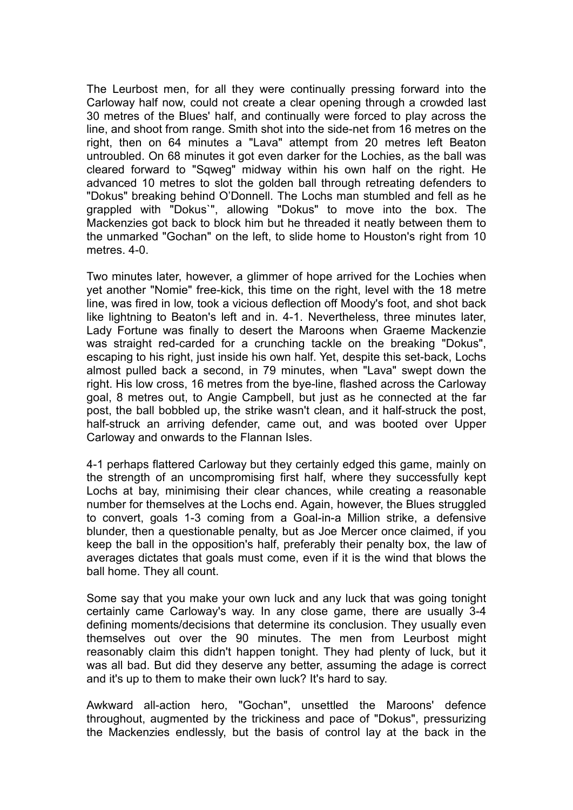The Leurbost men, for all they were continually pressing forward into the Carloway half now, could not create a clear opening through a crowded last 30 metres of the Blues' half, and continually were forced to play across the line, and shoot from range. Smith shot into the side-net from 16 metres on the right, then on 64 minutes a "Lava" attempt from 20 metres left Beaton untroubled. On 68 minutes it got even darker for the Lochies, as the ball was cleared forward to "Sqweg" midway within his own half on the right. He advanced 10 metres to slot the golden ball through retreating defenders to "Dokus" breaking behind O'Donnell. The Lochs man stumbled and fell as he grappled with "Dokus`", allowing "Dokus" to move into the box. The Mackenzies got back to block him but he threaded it neatly between them to the unmarked "Gochan" on the left, to slide home to Houston's right from 10 metres. 4-0

Two minutes later, however, a glimmer of hope arrived for the Lochies when yet another "Nomie" free-kick, this time on the right, level with the 18 metre line, was fired in low, took a vicious deflection off Moody's foot, and shot back like lightning to Beaton's left and in. 4-1. Nevertheless, three minutes later, Lady Fortune was finally to desert the Maroons when Graeme Mackenzie was straight red-carded for a crunching tackle on the breaking "Dokus", escaping to his right, just inside his own half. Yet, despite this set-back, Lochs almost pulled back a second, in 79 minutes, when "Lava" swept down the right. His low cross, 16 metres from the bye-line, flashed across the Carloway goal, 8 metres out, to Angie Campbell, but just as he connected at the far post, the ball bobbled up, the strike wasn't clean, and it half-struck the post, half-struck an arriving defender, came out, and was booted over Upper Carloway and onwards to the Flannan Isles.

4-1 perhaps flattered Carloway but they certainly edged this game, mainly on the strength of an uncompromising first half, where they successfully kept Lochs at bay, minimising their clear chances, while creating a reasonable number for themselves at the Lochs end. Again, however, the Blues struggled to convert, goals 1-3 coming from a Goal-in-a Million strike, a defensive blunder, then a questionable penalty, but as Joe Mercer once claimed, if you keep the ball in the opposition's half, preferably their penalty box, the law of averages dictates that goals must come, even if it is the wind that blows the ball home. They all count.

Some say that you make your own luck and any luck that was going tonight certainly came Carloway's way. In any close game, there are usually 3-4 defining moments/decisions that determine its conclusion. They usually even themselves out over the 90 minutes. The men from Leurbost might reasonably claim this didn't happen tonight. They had plenty of luck, but it was all bad. But did they deserve any better, assuming the adage is correct and it's up to them to make their own luck? It's hard to say.

Awkward all-action hero, "Gochan", unsettled the Maroons' defence throughout, augmented by the trickiness and pace of "Dokus", pressurizing the Mackenzies endlessly, but the basis of control lay at the back in the